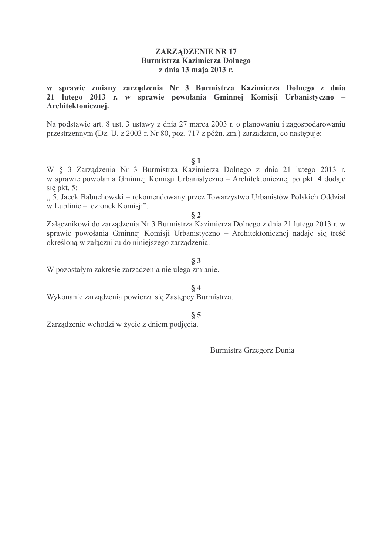## **ZARZĄDZENIE NR 17 Burmistrza Kazimierza Dolnego** z dnia 13 maja 2013 r.

w sprawie zmiany zarządzenia Nr 3 Burmistrza Kazimierza Dolnego z dnia 21 lutego 2013 r. w sprawie powołania Gminnej Komisji Urbanistyczno – Architektonicznej.

Na podstawie art. 8 ust. 3 ustawy z dnia 27 marca 2003 r. o planowaniu i zagospodarowaniu przestrzennym (Dz. U. z 2003 r. Nr 80, poz. 717 z późn. zm.) zarządzam, co następuje:

#### $\S 1$

W § 3 Zarządzenia Nr 3 Burmistrza Kazimierza Dolnego z dnia 21 lutego 2013 r. w sprawie powołania Gminnej Komisji Urbanistyczno – Architektonicznej po pkt. 4 dodaje sie pkt. 5:

"5. Jacek Babuchowski – rekomendowany przez Towarzystwo Urbanistów Polskich Oddział w Lublinie - członek Komisji".

 $§$  2

Załącznikowi do zarządzenia Nr 3 Burmistrza Kazimierza Dolnego z dnia 21 lutego 2013 r. w sprawie powołania Gminnej Komisji Urbanistyczno – Architektonicznej nadaje się treść określoną w załączniku do niniejszego zarządzenia.

#### $§ 3$

W pozostałym zakresie zarządzenia nie ulega zmianie.

## $84$

Wykonanie zarządzenia powierza się Zastępcy Burmistrza.

#### $§ 5$

Zarządzenie wchodzi w życie z dniem podjęcia.

**Burmistrz Grzegorz Dunia**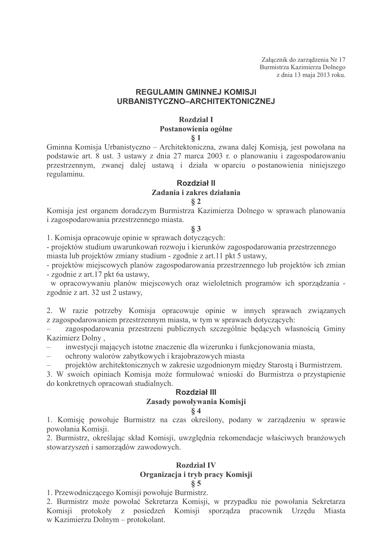Załacznik do zarządzenia Nr 17 Burmistrza Kazimierza Dolnego z dnia 13 maja 2013 roku.

## **REGULAMIN GMINNEJ KOMISJI** URBANISTYCZNO-ARCHITEKTONICZNEJ

# Rozdział I

## Postanowienia ogólne

 $§ 1$ 

Gminna Komisja Urbanistyczno – Architektoniczna, zwana dalej Komisją, jest powołana na podstawie art. 8 ust. 3 ustawy z dnia 27 marca 2003 r. o planowaniu i zagospodarowaniu przestrzennym, zwanej dalej ustawą i działa w oparciu o postanowienia niniejszego regulaminu.

#### Rozdział II

## Zadania i zakres działania

#### $82$

Komisja jest organem doradczym Burmistrza Kazimierza Dolnego w sprawach planowania i zagospodarowania przestrzennego miasta.

## $§ 3$

1. Komisja opracowuje opinie w sprawach dotyczących:

- projektów studium uwarunkowań rozwoju i kierunków zagospodarowania przestrzennego miasta lub projektów zmiany studium - zgodnie z art.11 pkt 5 ustawy,

- projektów miejscowych planów zagospodarowania przestrzennego lub projektów ich zmian - zgodnie z art.17 pkt 6a ustawy,

w opracowywaniu planów miejscowych oraz wieloletnich programów ich sporządzania zgodnie z art. 32 ust 2 ustawy.

2. W razie potrzeby Komisja opracowuje opinie w innych sprawach związanych z zagospodarowaniem przestrzennym miasta, w tym w sprawach dotyczących:

zagospodarowania przestrzeni publicznych szczególnie będących własnością Gminy Kazimierz Dolny,

- inwestycji mających istotne znaczenie dla wizerunku i funkcjonowania miasta,
- ochrony walorów zabytkowych i krajobrazowych miasta

projektów architektonicznych w zakresie uzgodnionym między Starosta i Burmistrzem.

3. W swoich opiniach Komisja może formułować wnioski do Burmistrza o przystąpienie do konkretnych opracowań studialnych.

## **Rozdział III**

## Zasady powoływania Komisji

#### $84$

1. Komisję powołuje Burmistrz na czas określony, podany w zarządzeniu w sprawie powołania Komisji.

2. Burmistrz, określając skład Komisii, uwzglednia rekomendacje właściwych branżowych stowarzyszeń i samorządów zawodowych.

#### **Rozdział IV** Organizacja i tryb pracy Komisji  $85$

1. Przewodniczącego Komisji powołuje Burmistrz.

2. Burmistrz może powołać Sekretarza Komisji, w przypadku nie powołania Sekretarza Komisji protokoły z posiedzeń Komisji sporządza pracownik Urzędu Miasta w Kazimierzu Dolnym - protokolant.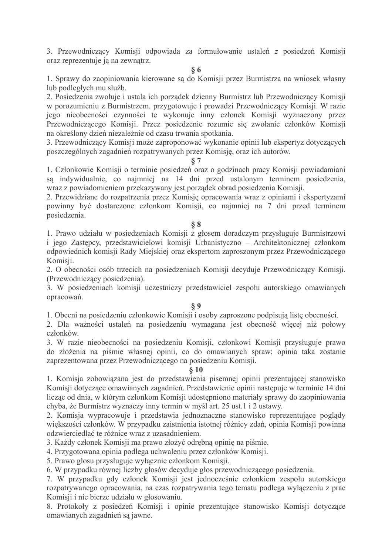3. Przewodniczący Komisji odpowiada za formułowanie ustaleń z posiedzeń Komisji oraz reprezentuje ją na zewnątrz.

**86** 

1. Sprawy do zaopiniowania kierowane są do Komisji przez Burmistrza na wniosek własny lub podległych mu służb.

2. Posiedzenia zwołuje i ustala ich porządek dzienny Burmistrz lub Przewodniczący Komisji w porozumieniu z Burmistrzem. przygotowuje i prowadzi Przewodniczący Komisji. W razie jego nieobecności czynności te wykonuje inny członek Komisji wyznaczony przez Przewodniczącego Komisji. Przez posiedzenie rozumie się zwołanie członków Komisji na określony dzień niezależnie od czasu trwania spotkania.

3. Przewodniczacy Komisii może zaproponować wykonanie opinii lub ekspertyz dotyczacych poszczególnych zagadnień rozpatrywanych przez Komisję, oraz ich autorów.

#### $87$

1. Członkowie Komisji o terminie posiedzeń oraz o godzinach pracy Komisji powiadamiani sa indywidualnie, co najmniej na 14 dni przed ustalonym terminem posiedzenia, wraz z powiadomieniem przekazywany jest porządek obrad posiedzenia Komisji.

2. Przewidziane do rozpatrzenia przez Komisję opracowania wraz z opiniami i ekspertyzami powinny być dostarczone członkom Komisji, co najmniej na 7 dni przed terminem posiedzenia.

## $88$

1. Prawo udziału w posiedzeniach Komisji z głosem doradczym przysługuje Burmistrzowi i jego Zastępcy, przedstawicielowi komisji Urbanistyczno – Architektonicznej członkom odpowiednich komisji Rady Miejskiej oraz ekspertom zaproszonym przez Przewodniczącego Komisii.

2. O obecności osób trzecich na posiedzeniach Komisji decyduje Przewodniczący Komisji. (Przewodniczący posiedzenia).

3. W posiedzeniach komisji uczestniczy przedstawiciel zespołu autorskiego omawianych opracowań.

## $\S 9$

1. Obecni na posiedzeniu członkowie Komisii i osoby zaproszone podpisują listę obecności.

2. Dla ważności ustaleń na posiedzeniu wymagana jest obecność więcej niż połowy członków.

3. W razie nieobecności na posiedzeniu Komisji, członkowi Komisji przysługuje prawo do złożenia na piśmie własnej opinii, co do omawianych spraw; opinia taka zostanie zaprezentowana przez Przewodniczącego na posiedzeniu Komisii.

## $§10$

1. Komisja zobowiązana jest do przedstawienia pisemnej opinii prezentującej stanowisko Komisii dotyczące omawianych zagadnień. Przedstawienie opinii następuje w terminie 14 dni licząc od dnia, w którym członkom Komisji udostępniono materiały sprawy do zaopiniowania chyba, że Burmistrz wyznaczy inny termin w myśl art. 25 ust. 1 i 2 ustawy.

2. Komisja wypracowuje i przedstawia jednoznaczne stanowisko reprezentujące poglądy wiekszości członków. W przypadku zaistnienia istotnej różnicy zdań, opinia Komisji powinna odzwierciedlać te różnice wraz z uzasadnieniem.

3. Każdy członek Komisji ma prawo złożyć odrębną opinię na piśmie.

4. Przygotowana opinia podlega uchwaleniu przez członków Komisji.

5. Prawo głosu przysługuje wyłącznie członkom Komisji.

6. W przypadku równej liczby głosów decyduje głos przewodniczącego posiedzenia.

7. W przypadku gdy członek Komisji jest jednocześnie członkiem zespołu autorskiego rozpatrywanego opracowania, na czas rozpatrywania tego tematu podlega wyłączeniu z prac Komisji i nie bierze udziału w głosowaniu.

8. Protokoły z posiedzeń Komisji i opinie prezentujące stanowisko Komisji dotyczące omawianych zagadnień są jawne.